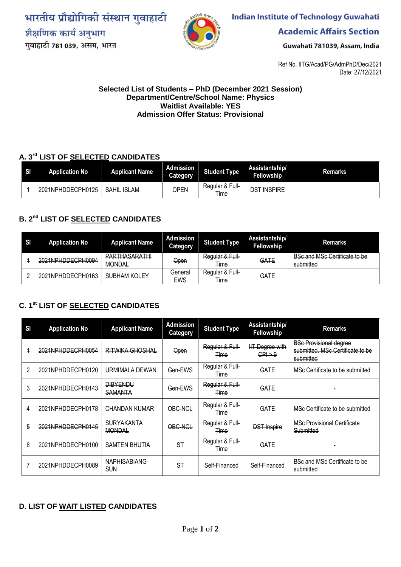भारतीय प्रौद्योगिकी संस्थान गुवाहाटी शैक्षणिक कार्य अनुभाग गुवाहाटी 781 039, असम, भारत



**Indian Institute of Technology Guwahati** 

**Academic Affairs Section** 

Guwahati 781039, Assam, India

Ref No. IITG/Acad/PG/AdmPhD/Dec/2021 Date: 27/12/2021

#### **Selected List of Students – PhD (December 2021 Session) Department/Centre/School Name: Physics Waitlist Available: YES Admission Offer Status: Provisional**

## **A. 3rd LIST OF SELECTED CANDIDATES**

| SI. | <b>Application No</b> | <b>Applicant Name</b> | <b>Admission</b><br>Category | <b>Student Type</b>     | Assistantship/<br>Fellowship | Remarks |
|-----|-----------------------|-----------------------|------------------------------|-------------------------|------------------------------|---------|
|     | 2021NPHDDECPH0125     | <b>SAHIL ISLAM</b>    | <b>OPEN</b>                  | Regular & Full-<br>Time | <b>INSPIRE</b><br>DST        |         |

# **B. 2nd LIST OF SELECTED CANDIDATES**

| <b>SI</b> | <b>Application No</b> | <b>Applicant Name</b>                 | Admission<br><b>Category</b> | <b>Student Type</b>     | Assistantship/<br><b>Fellowship</b> | <b>Remarks</b>                                    |
|-----------|-----------------------|---------------------------------------|------------------------------|-------------------------|-------------------------------------|---------------------------------------------------|
|           | 2021NPHDDECPH0094     | <b>PARTHASARATHI</b><br><b>MONDAL</b> | Open                         | Regular & Full-<br>Time | GATE                                | <b>BSc and MSc Certificate to be</b><br>submitted |
|           | 2021NPHDDECPH0163     | <b>SUBHAM KOLEY</b>                   | General<br><b>EWS</b>        | Regular & Full-<br>Time | GATE                                |                                                   |

## **C. 1 st LIST OF SELECTED CANDIDATES**

| SI             | <b>Application No</b> | <b>Applicant Name</b>              | <b>Admission</b><br><b>Category</b> | <b>Student Type</b>            | Assistantship/<br>Fellowship                 | <b>Remarks</b>                                                                 |
|----------------|-----------------------|------------------------------------|-------------------------------------|--------------------------------|----------------------------------------------|--------------------------------------------------------------------------------|
| 4              | 2021NPHDDECPH0054     | RITWIKA GHOSHAL                    | Open                                | Regular & Full-<br>Time        | <b>IIT Degree with</b><br>$CP \rightarrow 9$ | <b>BSc Provisional degree</b><br>submitted. MSc Certificate to be<br>submitted |
| $\mathfrak{p}$ | 2021NPHDDECPH0120     | URMIMALA DEWAN                     | Gen-EWS                             | Regular & Full-<br>Time        | <b>GATE</b>                                  | MSc Certificate to be submitted                                                |
| 3              | 2021NPHDDECPH0143     | <b>DIBYENDU</b><br><b>SAMANTA</b>  | Gen-EWS                             | Regular & Full-<br>Time        | GATE                                         |                                                                                |
| 4              | 2021NPHDDECPH0178     | <b>CHANDAN KUMAR</b>               | OBC-NCL                             | Regular & Full-<br>Time        | <b>GATE</b>                                  | MSc Certificate to be submitted                                                |
| 5              | 2021NPHDDECPH0145     | <b>SURYAKANTA</b><br><b>MONDAL</b> | OBC-NCL                             | Regular & Full-<br><b>Time</b> | <b>DST Inspire</b>                           | <b>MSc Provisional Certificate</b><br>Submitted                                |
| 6              | 2021NPHDDECPH0100     | <b>SAMTEN BHUTIA</b>               | <b>ST</b>                           | Regular & Full-<br>Time        | <b>GATE</b>                                  |                                                                                |
|                | 2021NPHDDECPH0089     | <b>NAPHISABIANG</b><br><b>SUN</b>  | <b>ST</b>                           | Self-Financed                  | Self-Financed                                | BSc and MSc Certificate to be<br>submitted                                     |

### **D. LIST OF WAIT LISTED CANDIDATES**